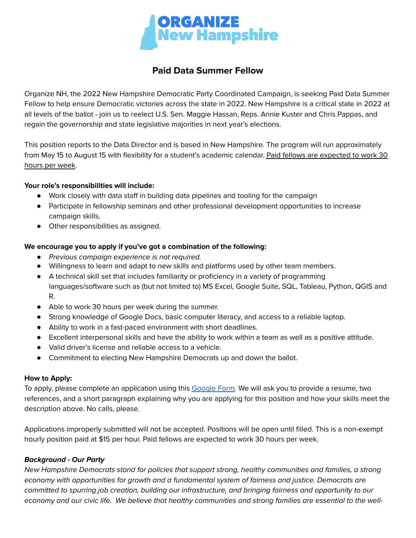

# **Paid Data Summer Fellow**

Organize NH, the 2022 New Hampshire Democratic Party Coordinated Campaign, is seeking Paid Data Summer Fellow to help ensure Democratic victories across the state in 2022. New Hampshire is a critical state in 2022 at all levels of the ballot - join us to reelect U.S. Sen. Maggie Hassan, Reps. Annie Kuster and Chris Pappas, and regain the governorship and state legislative majorities in next year's elections.

This position reports to the Data Director and is based in New Hampshire. The program will run approximately from May 15 to August 15 with flexibility for a student's academic calendar. Paid fellows are expected to work 30 hours per week.

# **Your role's responsibilities will include:**

- Work closely with data staff in building data pipelines and tooling for the campaign
- Participate in fellowship seminars and other professional development opportunities to increase campaign skills.
- Other responsibilities as assigned.

# **We encourage you to apply if you've got a combination of the following:**

- Previous campaign experience is not required.
- Willingness to learn and adapt to new skills and platforms used by other team members.
- A technical skill set that includes familiarity or proficiency in a variety of programming languages/software such as (but not limited to) MS Excel, Google Suite, SQL, Tableau, Python, QGIS and R.
- Able to work 30 hours per week during the summer.
- Strong knowledge of Google Docs, basic computer literacy, and access to a reliable laptop.
- Ability to work in a fast-paced environment with short deadlines.
- Excellent interpersonal skills and have the ability to work within a team as well as a positive attitude.
- Valid driver's license and reliable access to a vehicle.
- Commitment to electing New Hampshire Democrats up and down the ballot.

### **How to Apply:**

To apply, please complete an application using this [Google](https://docs.google.com/forms/d/e/1FAIpQLSdXD4ZT2_-WYhZ2EicLMcglR4On9-aaFRI28xrSqZlHSbf9sQ/viewform) Form. We will ask you to provide a resume, two references, and a short paragraph explaining why you are applying for this position and how your skills meet the description above. No calls, please.

Applications improperly submitted will not be accepted. Positions will be open until filled. This is a non-exempt hourly position paid at \$15 per hour. Paid fellows are expected to work 30 hours per week.

### **Background - Our Party**

New Hampshire Democrats stand for policies that support strong, healthy communities and families, a strong economy with opportunities for growth and a fundamental system of fairness and justice. Democrats are committed to spurring job creation, building our infrastructure, and bringing fairness and opportunity to our economy and our civic life. We believe that healthy communities and strong families are essential to the well-